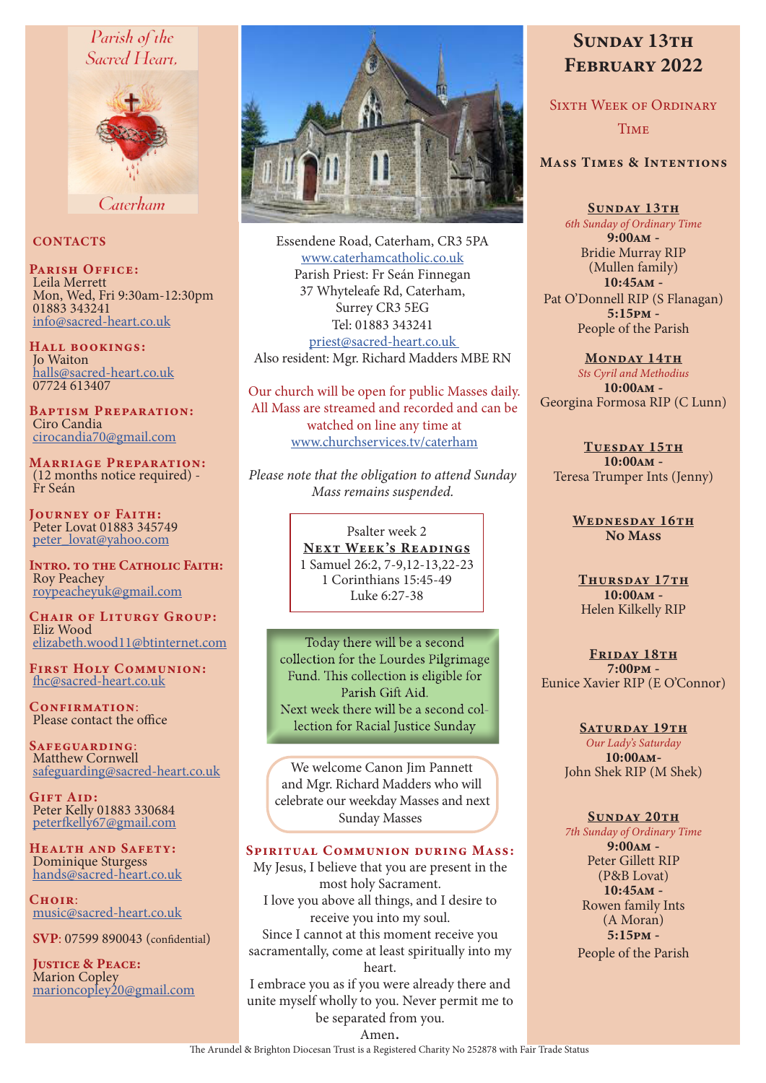## Parish of the Sacred Heart.



Caterham

#### **CONTACTS**

PARISH OFFICE: Leila Merrett Mon, Wed, Fri 9:30am-12:30pm 01883 343241 info@sacred-heart.co.uk

Hall bookings: Jo Waiton halls@sacred-heart.co.uk 07724 613407

Baptism Preparation: Ciro Candia cirocandia70@gmail.com

Marriage Preparation: (12 months notice required) - Fr Seán

Journey of Faith: Peter Lovat 01883 345749 peter\_lovat@yahoo.com

INTRO. TO THE CATHOLIC FAITH: Roy Peachey roypeacheyuk@gmail.com

CHAIR OF LITURGY GROUP: Eliz Wood elizabeth.wood11@btinternet.com

First Holy Communion: fhc@sacred-heart.co.uk

CONFIRMATION: Please contact the office

Safeguarding: Matthew Cornwell safeguarding@sacred-heart.co.uk

GIFT AID: Peter Kelly 01883 330684 peterfkelly67@gmail.com

Health and Safety: Dominique Sturgess hands@sacred-heart.co.uk

 $C$ HOIR $\cdot$ music@sacred-heart.co.uk

SVP: 07599 890043 (confidential)

JUSTICE & PEACE: Marion Copley marioncopley20@gmail.com



Essendene Road, Caterham, CR3 5PA www.caterhamcatholic.co.uk Parish Priest: Fr Seán Finnegan 37 Whyteleafe Rd, Caterham, Surrey CR3 5EG Tel: 01883 343241 priest@sacred-heart.co.uk Also resident: Mgr. Richard Madders MBE RN

Our church will be open for public Masses daily. All Mass are streamed and recorded and can be watched on line any time at www.churchservices.tv/caterham

*Please note that the obligation to attend Sunday Mass remains suspended.*

> Psalter week 2 NEXT WEEK'S READINGS 1 Samuel 26:2, 7-9,12-13,22-23

1 Corinthians 15:45-49 Luke 6:27-38

Today there will be a second collection for the Lourdes Pilgrimage Fund. This collection is eligible for Parish Gift Aid. Next week there will be a second collection for Racial Justice Sunday

We welcome Canon Jim Pannett and Mgr. Richard Madders who will celebrate our weekday Masses and next Sunday Masses

#### Spiritual Communion during Mass:

My Jesus, I believe that you are present in the most holy Sacrament. I love you above all things, and I desire to receive you into my soul. Since I cannot at this moment receive you sacramentally, come at least spiritually into my heart.

I embrace you as if you were already there and unite myself wholly to you. Never permit me to be separated from you.

# SUNDAY 13TH February 2022

SIXTH WEEK OF ORDINARY

**TIME** 

## Mass Times & Intentions

SUNDAY 13TH *6th Sunday of Ordinary Time*  $9:00AM -$ Bridie Murray RIP (Mullen family) 10:45am - Pat O'Donnell RIP (S Flanagan) 5:15pm - People of the Parish

MONDAY 14TH *Sts Cyril and Methodius*

10:00am - Georgina Formosa RIP (C Lunn)

TUESDAY 15TH 10:00am - Teresa Trumper Ints (Jenny)

> WEDNESDAY 16TH No Mass

THURSDAY 17TH 10:00am - Helen Kilkelly RIP

FRIDAY 18TH 7:00pm - Eunice Xavier RIP (E O'Connor)

> SATURDAY 19TH *Our Lady's Saturday* 10:00am-John Shek RIP (M Shek)

#### SUNDAY 20TH

*7th Sunday of Ordinary Time* 9:00am - Peter Gillett RIP (P&B Lovat) 10:45am - Rowen family Ints (A Moran) 5:15pm - People of the Parish

Amen.